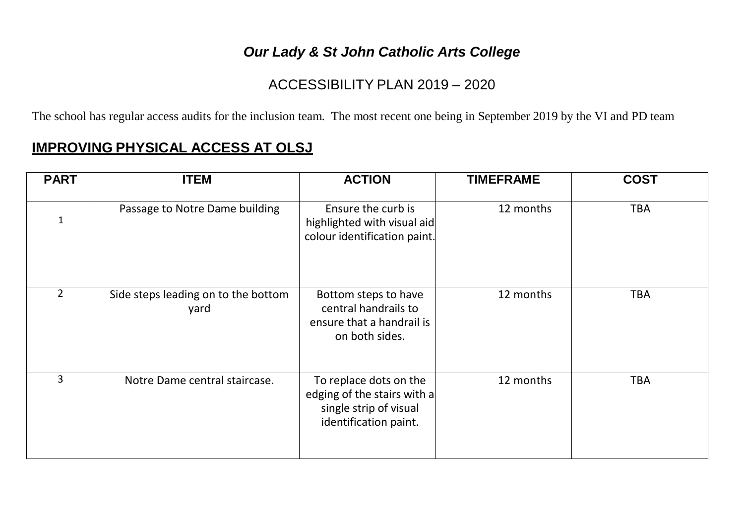## *Our Lady & St John Catholic Arts College*

## ACCESSIBILITY PLAN 2019 – 2020

The school has regular access audits for the inclusion team. The most recent one being in September 2019 by the VI and PD team

## **IMPROVING PHYSICAL ACCESS AT OLSJ**

| <b>PART</b>    | <b>ITEM</b>                                 | <b>ACTION</b>                                                                                            | <b>TIMEFRAME</b> | <b>COST</b> |
|----------------|---------------------------------------------|----------------------------------------------------------------------------------------------------------|------------------|-------------|
|                | Passage to Notre Dame building              | Ensure the curb is<br>highlighted with visual aid<br>colour identification paint.                        | 12 months        | <b>TBA</b>  |
| $\overline{2}$ | Side steps leading on to the bottom<br>yard | Bottom steps to have<br>central handrails to<br>ensure that a handrail is<br>on both sides.              | 12 months        | <b>TBA</b>  |
| $\overline{3}$ | Notre Dame central staircase.               | To replace dots on the<br>edging of the stairs with a<br>single strip of visual<br>identification paint. | 12 months        | <b>TBA</b>  |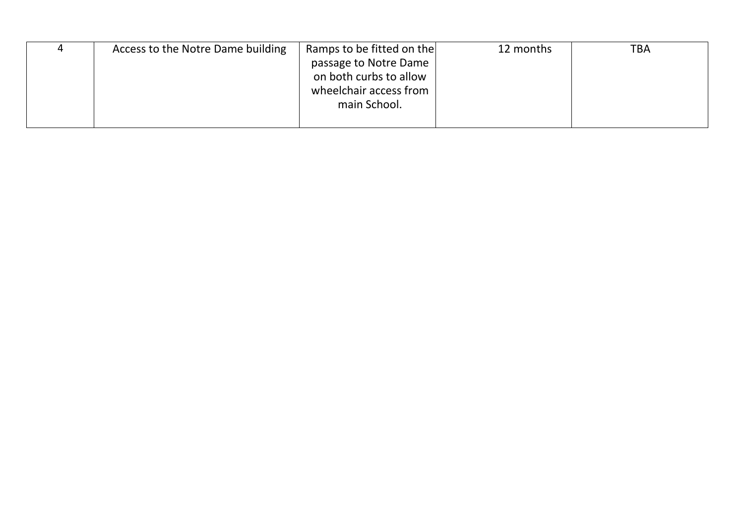| Access to the Notre Dame building | Ramps to be fitted on the | 12 months | TBA |
|-----------------------------------|---------------------------|-----------|-----|
|                                   | passage to Notre Dame     |           |     |
|                                   | on both curbs to allow    |           |     |
|                                   | wheelchair access from    |           |     |
|                                   | main School.              |           |     |
|                                   |                           |           |     |